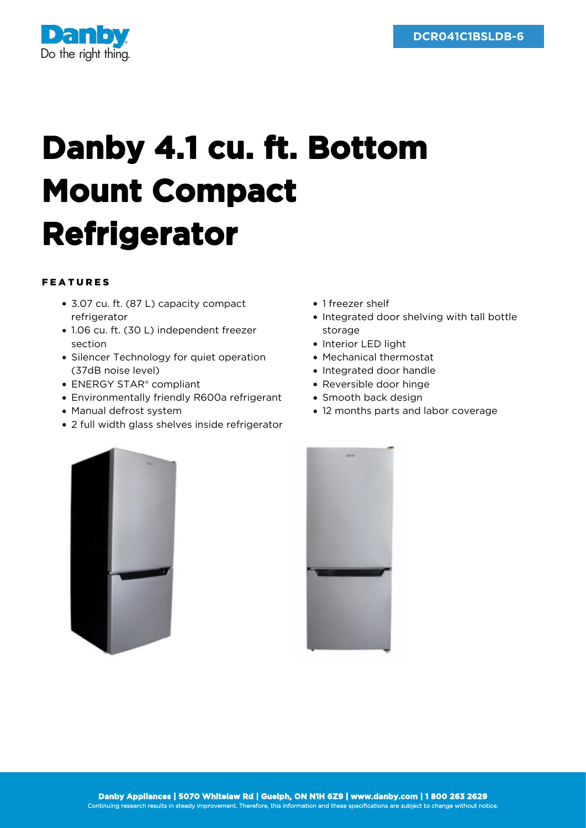

## **Danby 4.1 cu. ft. Bottom Mount Compact Refrigerator**

## FEATURES

- 3.07 cu. ft. (87 L) capacity compact refrigerator
- 1.06 cu. ft. (30 L) independent freezer section
- Silencer Technology for quiet operation (37dB noise level)
- ENERGY STAR® compliant
- Environmentally friendly R600a refrigerant
- Manual defrost system
- 2 full width glass shelves inside refrigerator
- 1 freezer shelf
- Integrated door shelving with tall bottle storage
- Interior LED light
- Mechanical thermostat
- Integrated door handle
- Reversible door hinge
- Smooth back design
- 12 months parts and labor coverage